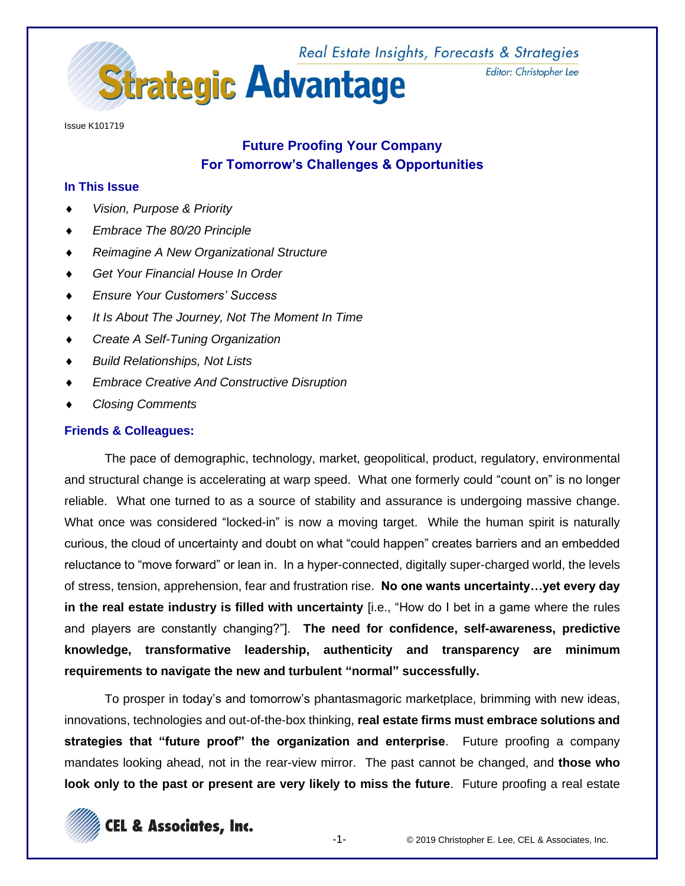

Issue K101719

# **Future Proofing Your Company For Tomorrow's Challenges & Opportunities**

# **In This Issue**

- *Vision, Purpose & Priority*
- *Embrace The 80/20 Principle*
- *Reimagine A New Organizational Structure*
- *Get Your Financial House In Order*
- *Ensure Your Customers' Success*
- *It Is About The Journey, Not The Moment In Time*
- *Create A Self-Tuning Organization*
- *Build Relationships, Not Lists*
- *Embrace Creative And Constructive Disruption*
- *Closing Comments*

# **Friends & Colleagues:**

The pace of demographic, technology, market, geopolitical, product, regulatory, environmental and structural change is accelerating at warp speed. What one formerly could "count on" is no longer reliable. What one turned to as a source of stability and assurance is undergoing massive change. What once was considered "locked-in" is now a moving target. While the human spirit is naturally curious, the cloud of uncertainty and doubt on what "could happen" creates barriers and an embedded reluctance to "move forward" or lean in. In a hyper-connected, digitally super-charged world, the levels of stress, tension, apprehension, fear and frustration rise. **No one wants uncertainty…yet every day in the real estate industry is filled with uncertainty** [i.e., "How do I bet in a game where the rules and players are constantly changing?"]. **The need for confidence, self-awareness, predictive knowledge, transformative leadership, authenticity and transparency are minimum requirements to navigate the new and turbulent "normal" successfully.** 

To prosper in today's and tomorrow's phantasmagoric marketplace, brimming with new ideas, innovations, technologies and out-of-the-box thinking, **real estate firms must embrace solutions and strategies that "future proof" the organization and enterprise**. Future proofing a company mandates looking ahead, not in the rear-view mirror. The past cannot be changed, and **those who look only to the past or present are very likely to miss the future**. Future proofing a real estate

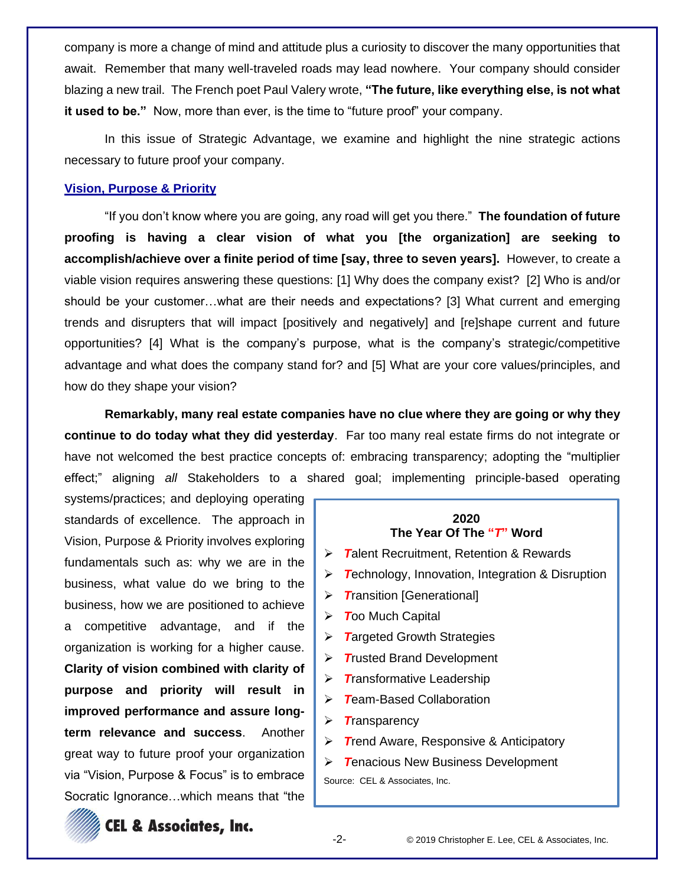company is more a change of mind and attitude plus a curiosity to discover the many opportunities that await. Remember that many well-traveled roads may lead nowhere. Your company should consider blazing a new trail. The French poet Paul Valery wrote, **"The future, like everything else, is not what it used to be."** Now, more than ever, is the time to "future proof" your company.

In this issue of Strategic Advantage, we examine and highlight the nine strategic actions necessary to future proof your company.

# **Vision, Purpose & Priority**

"If you don't know where you are going, any road will get you there." **The foundation of future proofing is having a clear vision of what you [the organization] are seeking to accomplish/achieve over a finite period of time [say, three to seven years].** However, to create a viable vision requires answering these questions: [1] Why does the company exist? [2] Who is and/or should be your customer…what are their needs and expectations? [3] What current and emerging trends and disrupters that will impact [positively and negatively] and [re]shape current and future opportunities? [4] What is the company's purpose, what is the company's strategic/competitive advantage and what does the company stand for? and [5] What are your core values/principles, and how do they shape your vision?

**Remarkably, many real estate companies have no clue where they are going or why they continue to do today what they did yesterday**. Far too many real estate firms do not integrate or have not welcomed the best practice concepts of: embracing transparency; adopting the "multiplier effect;" aligning *all* Stakeholders to a shared goal; implementing principle-based operating

systems/practices; and deploying operating standards of excellence. The approach in Vision, Purpose & Priority involves exploring fundamentals such as: why we are in the business, what value do we bring to the business, how we are positioned to achieve a competitive advantage, and if the organization is working for a higher cause. **Clarity of vision combined with clarity of purpose and priority will result in improved performance and assure longterm relevance and success**. Another great way to future proof your organization via "Vision, Purpose & Focus" is to embrace Socratic Ignorance…which means that "the





**CEL & Associates, Inc.**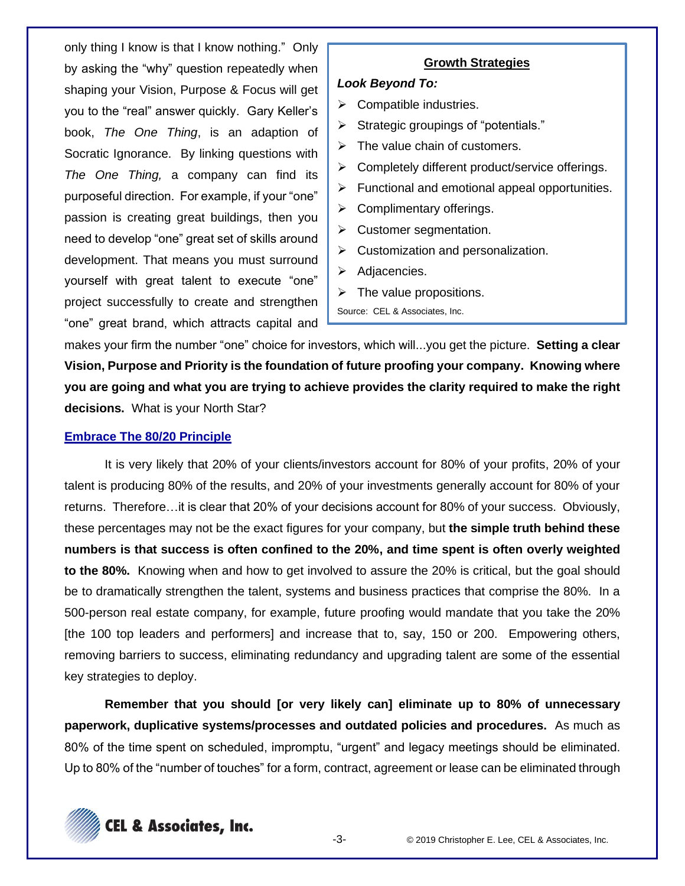only thing I know is that I know nothing." Only by asking the "why" question repeatedly when shaping your Vision, Purpose & Focus will get you to the "real" answer quickly. Gary Keller's book, *The One Thing*, is an adaption of Socratic Ignorance. By linking questions with *The One Thing,* a company can find its purposeful direction. For example, if your "one" passion is creating great buildings, then you need to develop "one" great set of skills around development. That means you must surround yourself with great talent to execute "one" project successfully to create and strengthen "one" great brand, which attracts capital and

# **Growth Strategies**

### *Look Beyond To:*

- $\triangleright$  Compatible industries.
- ➢ Strategic groupings of "potentials."
- $\triangleright$  The value chain of customers.
- ➢ Completely different product/service offerings.
- $\triangleright$  Functional and emotional appeal opportunities.
- $\triangleright$  Complimentary offerings.
- $\triangleright$  Customer segmentation.
- $\triangleright$  Customization and personalization.
- ➢ Adjacencies.
- $\triangleright$  The value propositions.
- Source: CEL & Associates, Inc.

makes your firm the number "one" choice for investors, which will...you get the picture. **Setting a clear Vision, Purpose and Priority is the foundation of future proofing your company. Knowing where you are going and what you are trying to achieve provides the clarity required to make the right decisions.** What is your North Star?

#### **Embrace The 80/20 Principle**

It is very likely that 20% of your clients/investors account for 80% of your profits, 20% of your talent is producing 80% of the results, and 20% of your investments generally account for 80% of your returns. Therefore…it is clear that 20% of your decisions account for 80% of your success. Obviously, these percentages may not be the exact figures for your company, but **the simple truth behind these numbers is that success is often confined to the 20%, and time spent is often overly weighted to the 80%.** Knowing when and how to get involved to assure the 20% is critical, but the goal should be to dramatically strengthen the talent, systems and business practices that comprise the 80%. In a 500-person real estate company, for example, future proofing would mandate that you take the 20% [the 100 top leaders and performers] and increase that to, say, 150 or 200. Empowering others, removing barriers to success, eliminating redundancy and upgrading talent are some of the essential key strategies to deploy.

**Remember that you should [or very likely can] eliminate up to 80% of unnecessary paperwork, duplicative systems/processes and outdated policies and procedures.** As much as 80% of the time spent on scheduled, impromptu, "urgent" and legacy meetings should be eliminated. Up to 80% of the "number of touches" for a form, contract, agreement or lease can be eliminated through

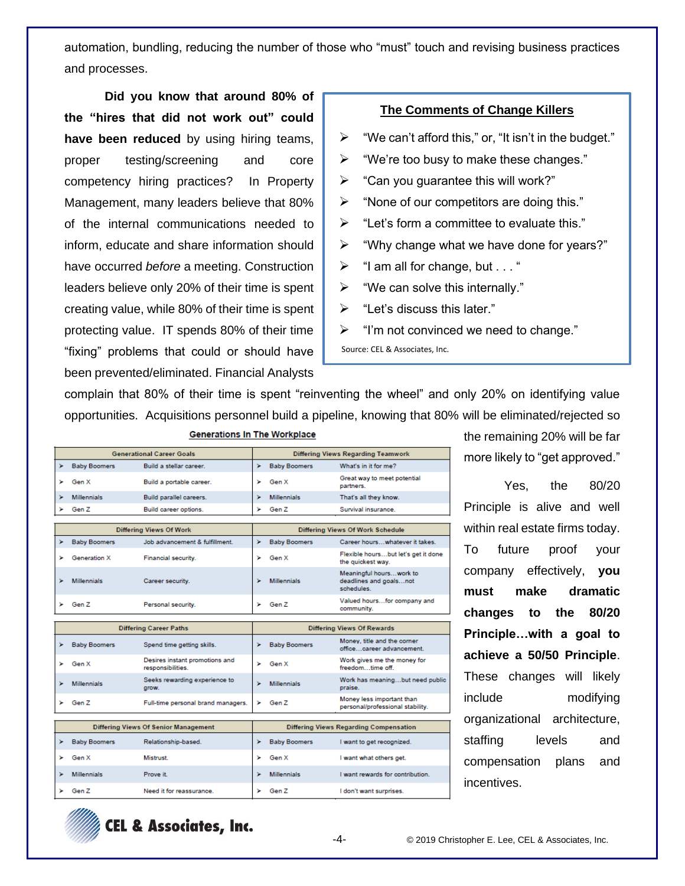automation, bundling, reducing the number of those who "must" touch and revising business practices and processes.

**Did you know that around 80% of the "hires that did not work out" could have been reduced** by using hiring teams, proper testing/screening and core competency hiring practices? In Property Management, many leaders believe that 80% of the internal communications needed to inform, educate and share information should have occurred *before* a meeting. Construction leaders believe only 20% of their time is spent creating value, while 80% of their time is spent protecting value. IT spends 80% of their time "fixing" problems that could or should have been prevented/eliminated. Financial Analysts

# **The Comments of Change Killers**

- $\triangleright$  "We can't afford this," or, "It isn't in the budget."
- ➢ "We're too busy to make these changes."
- $\triangleright$  "Can you guarantee this will work?"
- ➢ "None of our competitors are doing this."
- $\triangleright$  "Let's form a committee to evaluate this."
- $\triangleright$  "Why change what we have done for years?"
- $\triangleright$  "I am all for change, but . . . "
- $\triangleright$  "We can solve this internally."
- $\triangleright$  "Let's discuss this later."
- $\triangleright$  "I'm not convinced we need to change."

Source: CEL & Associates, Inc.

complain that 80% of their time is spent "reinventing the wheel" and only 20% on identifying value opportunities. Acquisitions personnel build a pipeline, knowing that 80% will be eliminated/rejected so

|   | <b>Generational Career Goals</b> |                                                     | <b>Differing Views Regarding Teamwork</b> |                     |                                                                 |
|---|----------------------------------|-----------------------------------------------------|-------------------------------------------|---------------------|-----------------------------------------------------------------|
| × | <b>Baby Boomers</b>              | Build a stellar career.                             | ×                                         | <b>Baby Boomers</b> | What's in it for me?                                            |
| ъ | Gen X                            | Build a portable career.                            | ъ                                         | Gen X               | Great way to meet potential<br>partners.                        |
|   | <b>Millennials</b>               | Build parallel careers.                             | ъ                                         | <b>Millennials</b>  | That's all they know.                                           |
|   | Gen Z                            | Build career options.                               | ъ                                         | Gen Z               | Survival insurance.                                             |
|   |                                  |                                                     |                                           |                     |                                                                 |
|   |                                  | Differing Views Of Work                             | Differing Views Of Work Schedule          |                     |                                                                 |
| × | <b>Baby Boomers</b>              | Job advancement & fulfillment.                      | ×                                         | <b>Baby Boomers</b> | Career hourswhatever it takes.                                  |
| ъ | <b>Generation X</b>              | Financial security.                                 | ъ                                         | Gen X               | Flexible hoursbut let's get it done<br>the quickest way.        |
| ъ | <b>Millennials</b>               | Career security.                                    |                                           | <b>Millennials</b>  | Meaningful hourswork to<br>deadlines and goalsnot<br>schedules. |
| s | Gen Z                            | Personal security.                                  | ъ                                         | Gen Z               | Valued hoursfor company and<br>community.                       |
|   |                                  |                                                     |                                           |                     |                                                                 |
|   |                                  | <b>Differing Career Paths</b>                       |                                           |                     | <b>Differing Views Of Rewards</b>                               |
| × | <b>Baby Boomers</b>              | Spend time getting skills.                          | ×                                         | <b>Baby Boomers</b> | Money, title and the corner<br>officecareer advancement.        |
| ъ | Gen X                            | Desires instant promotions and<br>responsibilities. | ъ                                         | Gen X               | Work gives me the money for<br>freedomtime off.                 |
| ъ | <b>Millennials</b>               | Seeks rewarding experience to<br>grow.              |                                           | <b>Millennials</b>  | Work has meaningbut need public<br>praise.                      |
| ► | Gen Z                            | Full-time personal brand managers.                  | ×                                         | Gen Z               | Money less important than<br>personal/professional stability.   |
|   |                                  |                                                     |                                           |                     |                                                                 |
|   |                                  | <b>Differing Views Of Senior Management</b>         |                                           |                     | Differing Views Regarding Compensation                          |
| × | <b>Baby Boomers</b>              | Relationship-based.                                 | ×                                         | <b>Baby Boomers</b> | I want to get recognized.                                       |
| ъ | Gen X                            | Mistrust                                            | ъ                                         | Gen X               | I want what others get.                                         |
| ъ | <b>Millennials</b>               | Prove it.                                           | ъ                                         | <b>Millennials</b>  | I want rewards for contribution.                                |
| ≻ | Gen Z                            | Need it for reassurance.                            | ъ                                         | Gen Z               | I don't want surprises.                                         |

**Generations In The Workplace** 

the remaining 20% will be far more likely to "get approved."

Yes, the 80/20 Principle is alive and well within real estate firms today. To future proof your company effectively, **you must make dramatic changes to the 80/20 Principle…with a goal to achieve a 50/50 Principle**. These changes will likely include modifying organizational architecture, staffing levels and compensation plans and incentives.

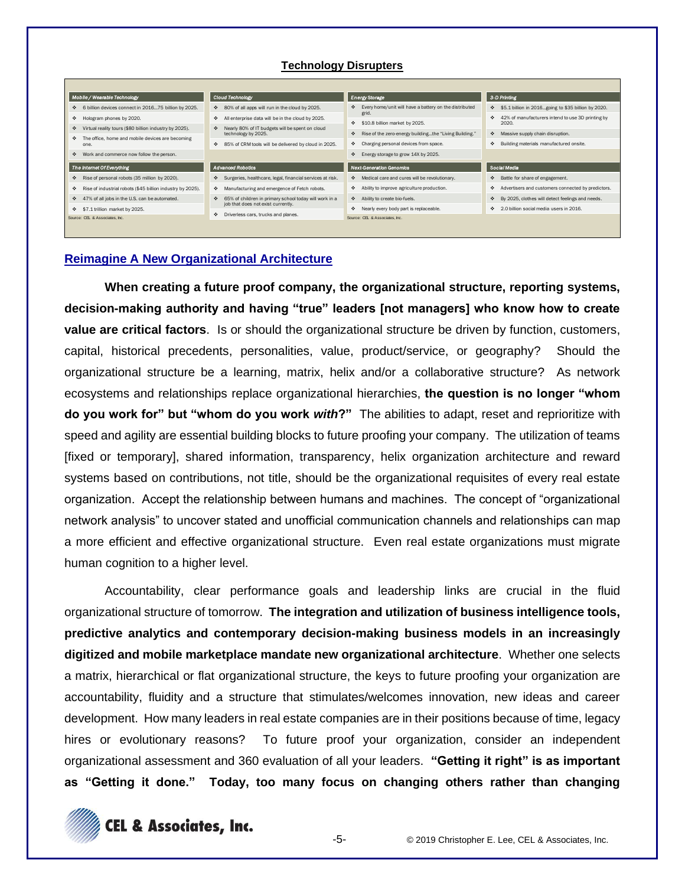#### **Technology Disrupters**



#### **Reimagine A New Organizational Architecture**

**When creating a future proof company, the organizational structure, reporting systems, decision-making authority and having "true" leaders [not managers] who know how to create value are critical factors**. Is or should the organizational structure be driven by function, customers, capital, historical precedents, personalities, value, product/service, or geography? Should the organizational structure be a learning, matrix, helix and/or a collaborative structure? As network ecosystems and relationships replace organizational hierarchies, **the question is no longer "whom do you work for" but "whom do you work** *with***?"** The abilities to adapt, reset and reprioritize with speed and agility are essential building blocks to future proofing your company. The utilization of teams [fixed or temporary], shared information, transparency, helix organization architecture and reward systems based on contributions, not title, should be the organizational requisites of every real estate organization. Accept the relationship between humans and machines. The concept of "organizational network analysis" to uncover stated and unofficial communication channels and relationships can map a more efficient and effective organizational structure. Even real estate organizations must migrate human cognition to a higher level.

Accountability, clear performance goals and leadership links are crucial in the fluid organizational structure of tomorrow. **The integration and utilization of business intelligence tools, predictive analytics and contemporary decision-making business models in an increasingly digitized and mobile marketplace mandate new organizational architecture**. Whether one selects a matrix, hierarchical or flat organizational structure, the keys to future proofing your organization are accountability, fluidity and a structure that stimulates/welcomes innovation, new ideas and career development. How many leaders in real estate companies are in their positions because of time, legacy hires or evolutionary reasons? To future proof your organization, consider an independent organizational assessment and 360 evaluation of all your leaders. **"Getting it right" is as important as "Getting it done." Today, too many focus on changing others rather than changing** 

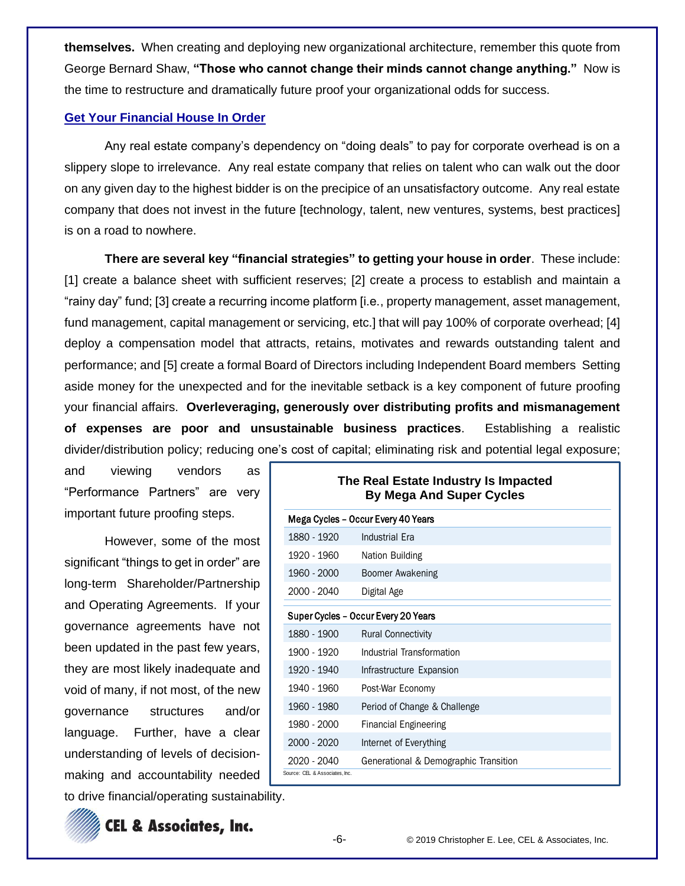**themselves.** When creating and deploying new organizational architecture, remember this quote from George Bernard Shaw, **"Those who cannot change their minds cannot change anything."** Now is the time to restructure and dramatically future proof your organizational odds for success.

# **Get Your Financial House In Order**

Any real estate company's dependency on "doing deals" to pay for corporate overhead is on a slippery slope to irrelevance. Any real estate company that relies on talent who can walk out the door on any given day to the highest bidder is on the precipice of an unsatisfactory outcome. Any real estate company that does not invest in the future [technology, talent, new ventures, systems, best practices] is on a road to nowhere.

**There are several key "financial strategies" to getting your house in order**. These include: [1] create a balance sheet with sufficient reserves; [2] create a process to establish and maintain a "rainy day" fund; [3] create a recurring income platform [i.e., property management, asset management, fund management, capital management or servicing, etc.] that will pay 100% of corporate overhead; [4] deploy a compensation model that attracts, retains, motivates and rewards outstanding talent and performance; and [5] create a formal Board of Directors including Independent Board members Setting aside money for the unexpected and for the inevitable setback is a key component of future proofing your financial affairs. **Overleveraging, generously over distributing profits and mismanagement of expenses are poor and unsustainable business practices**. Establishing a realistic divider/distribution policy; reducing one's cost of capital; eliminating risk and potential legal exposure;

and viewing vendors as "Performance Partners" are very important future proofing steps.

However, some of the most significant "things to get in order" are long-term Shareholder/Partnership and Operating Agreements. If your governance agreements have not been updated in the past few years, they are most likely inadequate and void of many, if not most, of the new governance structures and/or language. Further, have a clear understanding of levels of decisionmaking and accountability needed

|                                     | The Real Estate Industry Is Impacted<br><b>By Mega And Super Cycles</b> |  |  |  |
|-------------------------------------|-------------------------------------------------------------------------|--|--|--|
| Mega Cycles – Occur Every 40 Years  |                                                                         |  |  |  |
| 1880 - 1920                         | <b>Industrial Era</b>                                                   |  |  |  |
| 1920 - 1960                         | Nation Building                                                         |  |  |  |
| 1960 - 2000                         | Boomer Awakening                                                        |  |  |  |
| 2000 - 2040                         | Digital Age                                                             |  |  |  |
| Super Cycles - Occur Every 20 Years |                                                                         |  |  |  |
| 1880 - 1900                         | <b>Rural Connectivity</b>                                               |  |  |  |
| 1900 - 1920                         | Industrial Transformation                                               |  |  |  |
| 1920 - 1940                         | Infrastructure Expansion                                                |  |  |  |
| 1940 - 1960                         | Post-War Economy                                                        |  |  |  |
| 1960 - 1980                         | Period of Change & Challenge                                            |  |  |  |
| 1980 - 2000                         | <b>Financial Engineering</b>                                            |  |  |  |
| 2000 - 2020                         | Internet of Everything                                                  |  |  |  |
| 2020 - 2040                         | Generational & Demographic Transition                                   |  |  |  |
| Source: CEL & Associates, Inc.      |                                                                         |  |  |  |

to drive financial/operating sustainability.



**CEL & Associates, Inc.**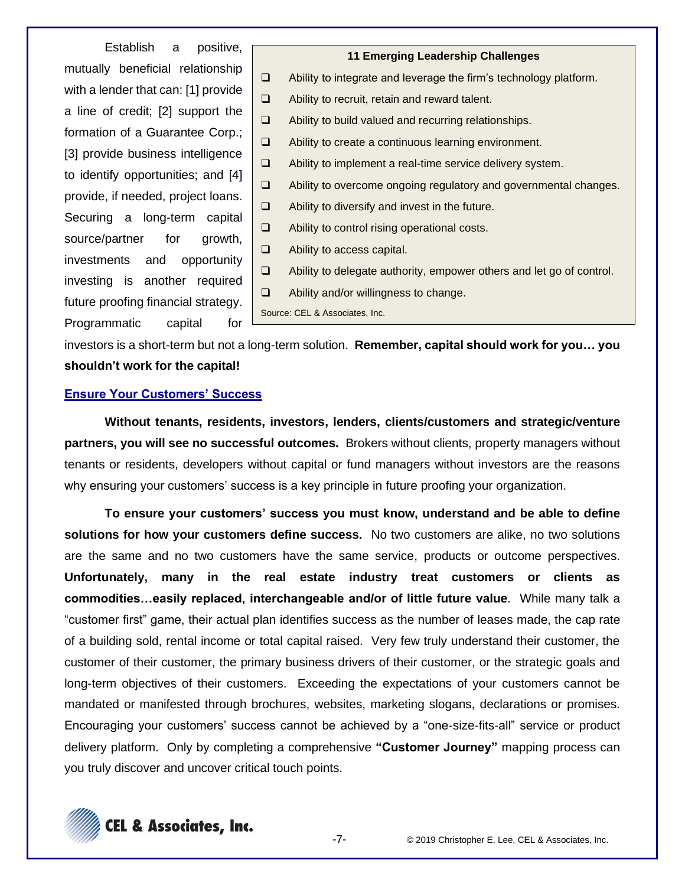Establish a positive, mutually beneficial relationship with a lender that can: [1] provide a line of credit; [2] support the formation of a Guarantee Corp.; [3] provide business intelligence to identify opportunities; and [4] provide, if needed, project loans. Securing a long-term capital source/partner for growth, investments and opportunity investing is another required future proofing financial strategy. Programmatic capital for

# **11 Emerging Leadership Challenges**

- ❑ Ability to integrate and leverage the firm's technology platform.
- ❑ Ability to recruit, retain and reward talent.
- ❑ Ability to build valued and recurring relationships.
- ❑ Ability to create a continuous learning environment.
- ❑ Ability to implement a real-time service delivery system.
- ❑ Ability to overcome ongoing regulatory and governmental changes.
- ❑ Ability to diversify and invest in the future.
- ❑ Ability to control rising operational costs.
- ❑ Ability to access capital.
- ❑ Ability to delegate authority, empower others and let go of control.
- ❑ Ability and/or willingness to change.

Source: CEL & Associates, Inc.

investors is a short-term but not a long-term solution. **Remember, capital should work for you… you shouldn't work for the capital!**

# **Ensure Your Customers' Success**

**Without tenants, residents, investors, lenders, clients/customers and strategic/venture partners, you will see no successful outcomes.** Brokers without clients, property managers without tenants or residents, developers without capital or fund managers without investors are the reasons why ensuring your customers' success is a key principle in future proofing your organization.

**To ensure your customers' success you must know, understand and be able to define solutions for how your customers define success.** No two customers are alike, no two solutions are the same and no two customers have the same service, products or outcome perspectives. **Unfortunately, many in the real estate industry treat customers or clients as commodities…easily replaced, interchangeable and/or of little future value**. While many talk a "customer first" game, their actual plan identifies success as the number of leases made, the cap rate of a building sold, rental income or total capital raised. Very few truly understand their customer, the customer of their customer, the primary business drivers of their customer, or the strategic goals and long-term objectives of their customers. Exceeding the expectations of your customers cannot be mandated or manifested through brochures, websites, marketing slogans, declarations or promises. Encouraging your customers' success cannot be achieved by a "one-size-fits-all" service or product delivery platform. Only by completing a comprehensive **"Customer Journey"** mapping process can you truly discover and uncover critical touch points.

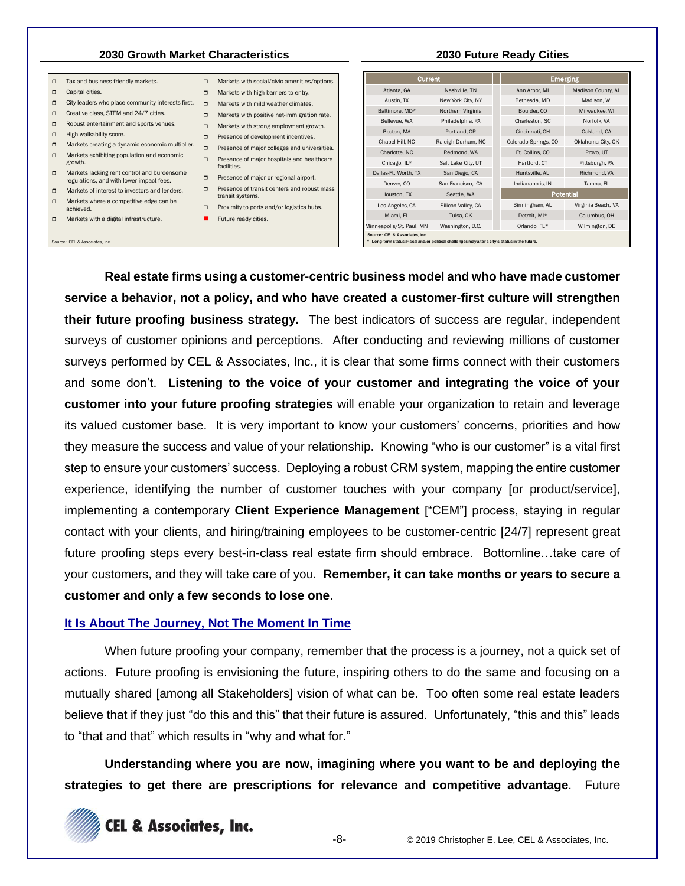# **2030 Growth Market Characteristics 2030 Future Ready Cities**

Tax and business-friendly markets. **D** Capital cities.  $\Box$  City leaders who place community interests first.  $\Box$  Markets with mild weather climates.  $\Box$  Creative class, STEM and 24/7 cities.  $\Box$  Markets with positive net-immigration rate. Robust entertainment and sports venues.  $\Box$  High walkability score. D Presence of development incentives.<br>
■ Markets creating a dynamic economic multiplier. ■ Presence of maisr calledge and universities **■** Markets exhibiting population and economic <br>growth. **a** Presence of major hospitals and healthcare facilities. □ Markets lacking rent control and burdensome <br>regulations, and with lower impact fees. Presence of major or regional airport. □ Markets of interest to investors and lenders. □ Presence of transit centers and robust mass transit systems. □ Markets where a competitive edge can be <br>achieved. D Proximity to ports and/or logistics hubs. Markets with a digital infrastructure.  $\Box$  Markets with social/civic amenities/options. **D** Markets with high barriers to entry. **D** Markets with strong employment growth. **Presence of major colleges and universities. E** Future ready cities.

|  | iamow with a aightir innabaacta.c |  |
|--|-----------------------------------|--|
|  |                                   |  |
|  |                                   |  |

Source: CEL & Associates, Inc.

- 
- 
- -

| Current            |  |                      | <b>Emerging</b>    |  |  |
|--------------------|--|----------------------|--------------------|--|--|
| Nashville, TN      |  | Ann Arbor, MI        | Madison County, AL |  |  |
| New York City, NY  |  | Bethesda, MD         | Madison, WI        |  |  |
| Northern Virginia  |  | Boulder, CO          | Milwaukee, WI      |  |  |
| Philadelphia, PA   |  | Charleston, SC       | Norfolk, VA        |  |  |
| Portland, OR       |  | Cincinnati, OH       | Oakland, CA        |  |  |
| Raleigh-Durham, NC |  | Colorado Springs, CO | Oklahoma City, OK  |  |  |
| Redmond, WA        |  | Ft. Collins, CO      | Provo, UT          |  |  |
| Salt Lake City, UT |  | Hartford, CT         | Pittsburgh, PA     |  |  |
| San Diego, CA      |  | Huntsville, AL       | Richmond, VA       |  |  |
| San Francisco, CA  |  | Indianapolis, IN     | Tampa, FL          |  |  |
| Seattle, WA        |  | Potential            |                    |  |  |
| Silicon Valley, CA |  | Birmingham, AL       | Virginia Beach, VA |  |  |
| Tulsa, OK          |  | Detroit, MI*         | Columbus, OH       |  |  |
| Washington, D.C.   |  | Orlando, FL*         | Wilmington, DE     |  |  |
|                    |  |                      |                    |  |  |

**Real estate firms using a customer-centric business model and who have made customer service a behavior, not a policy, and who have created a customer-first culture will strengthen their future proofing business strategy.** The best indicators of success are regular, independent surveys of customer opinions and perceptions. After conducting and reviewing millions of customer surveys performed by CEL & Associates, Inc., it is clear that some firms connect with their customers and some don't. **Listening to the voice of your customer and integrating the voice of your customer into your future proofing strategies** will enable your organization to retain and leverage its valued customer base. It is very important to know your customers' concerns, priorities and how they measure the success and value of your relationship. Knowing "who is our customer" is a vital first step to ensure your customers' success. Deploying a robust CRM system, mapping the entire customer experience, identifying the number of customer touches with your company [or product/service], implementing a contemporary **Client Experience Management** ["CEM"] process, staying in regular contact with your clients, and hiring/training employees to be customer-centric [24/7] represent great future proofing steps every best-in-class real estate firm should embrace. Bottomline…take care of your customers, and they will take care of you. **Remember, it can take months or years to secure a customer and only a few seconds to lose one**.

#### **It Is About The Journey, Not The Moment In Time**

When future proofing your company, remember that the process is a journey, not a quick set of actions. Future proofing is envisioning the future, inspiring others to do the same and focusing on a mutually shared [among all Stakeholders] vision of what can be. Too often some real estate leaders believe that if they just "do this and this" that their future is assured. Unfortunately, "this and this" leads to "that and that" which results in "why and what for."

**Understanding where you are now, imagining where you want to be and deploying the strategies to get there are prescriptions for relevance and competitive advantage**. Future

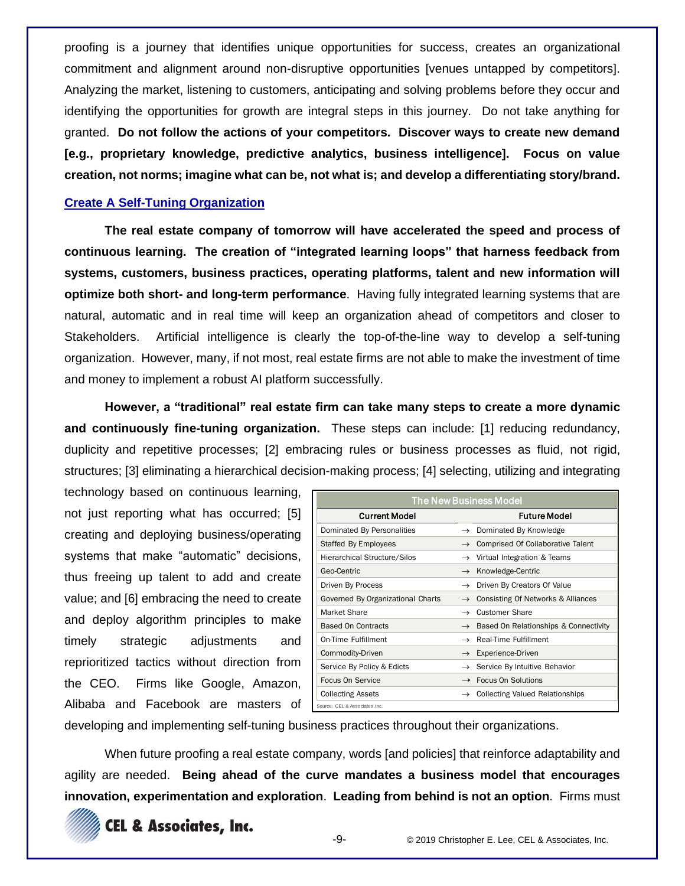proofing is a journey that identifies unique opportunities for success, creates an organizational commitment and alignment around non-disruptive opportunities [venues untapped by competitors]. Analyzing the market, listening to customers, anticipating and solving problems before they occur and identifying the opportunities for growth are integral steps in this journey. Do not take anything for granted. **Do not follow the actions of your competitors. Discover ways to create new demand [e.g., proprietary knowledge, predictive analytics, business intelligence]. Focus on value creation, not norms; imagine what can be, not what is; and develop a differentiating story/brand.**

# **Create A Self-Tuning Organization**

**The real estate company of tomorrow will have accelerated the speed and process of continuous learning. The creation of "integrated learning loops" that harness feedback from systems, customers, business practices, operating platforms, talent and new information will optimize both short- and long-term performance**. Having fully integrated learning systems that are natural, automatic and in real time will keep an organization ahead of competitors and closer to Stakeholders. Artificial intelligence is clearly the top-of-the-line way to develop a self-tuning organization. However, many, if not most, real estate firms are not able to make the investment of time and money to implement a robust AI platform successfully.

**However, a "traditional" real estate firm can take many steps to create a more dynamic and continuously fine-tuning organization.** These steps can include: [1] reducing redundancy, duplicity and repetitive processes; [2] embracing rules or business processes as fluid, not rigid, structures; [3] eliminating a hierarchical decision-making process; [4] selecting, utilizing and integrating

technology based on continuous learning, not just reporting what has occurred; [5] creating and deploying business/operating systems that make "automatic" decisions, thus freeing up talent to add and create value; and [6] embracing the need to create and deploy algorithm principles to make timely strategic adjustments and reprioritized tactics without direction from the CEO. Firms like Google, Amazon, Alibaba and Facebook are masters of

| <b>The New Business Model</b>       |                                                     |  |  |  |
|-------------------------------------|-----------------------------------------------------|--|--|--|
| <b>Current Model</b>                | <b>Future Model</b>                                 |  |  |  |
| Dominated By Personalities          | $\rightarrow$ Dominated By Knowledge                |  |  |  |
| Staffed By Employees                | Comprised Of Collaborative Talent<br>$\rightarrow$  |  |  |  |
| <b>Hierarchical Structure/Silos</b> | $\rightarrow$ Virtual Integration & Teams           |  |  |  |
| Geo-Centric                         | Knowledge-Centric<br>$\rightarrow$                  |  |  |  |
| Driven By Process                   | Driven By Creators Of Value<br>$\rightarrow$        |  |  |  |
| Governed By Organizational Charts   | Consisting Of Networks & Alliances<br>$\rightarrow$ |  |  |  |
| Market Share                        | Customer Share<br>$\rightarrow$                     |  |  |  |
| <b>Based On Contracts</b>           | $\rightarrow$ Based On Relationships & Connectivity |  |  |  |
| On-Time Fulfillment                 | Real-Time Fulfillment<br>$\rightarrow$              |  |  |  |
| Commodity-Driven                    | Experience-Driven<br>$\rightarrow$                  |  |  |  |
| Service By Policy & Edicts          | $\rightarrow$ Service By Intuitive Behavior         |  |  |  |
| Focus On Service                    | <b>Focus On Solutions</b><br>$\rightarrow$          |  |  |  |
| <b>Collecting Assets</b>            | <b>Collecting Valued Relationships</b>              |  |  |  |
| Source: CEL & Associates, Inc.      |                                                     |  |  |  |

developing and implementing self-tuning business practices throughout their organizations.

When future proofing a real estate company, words [and policies] that reinforce adaptability and agility are needed. **Being ahead of the curve mandates a business model that encourages innovation, experimentation and exploration**. **Leading from behind is not an option**. Firms must



**CEL & Associates, Inc.**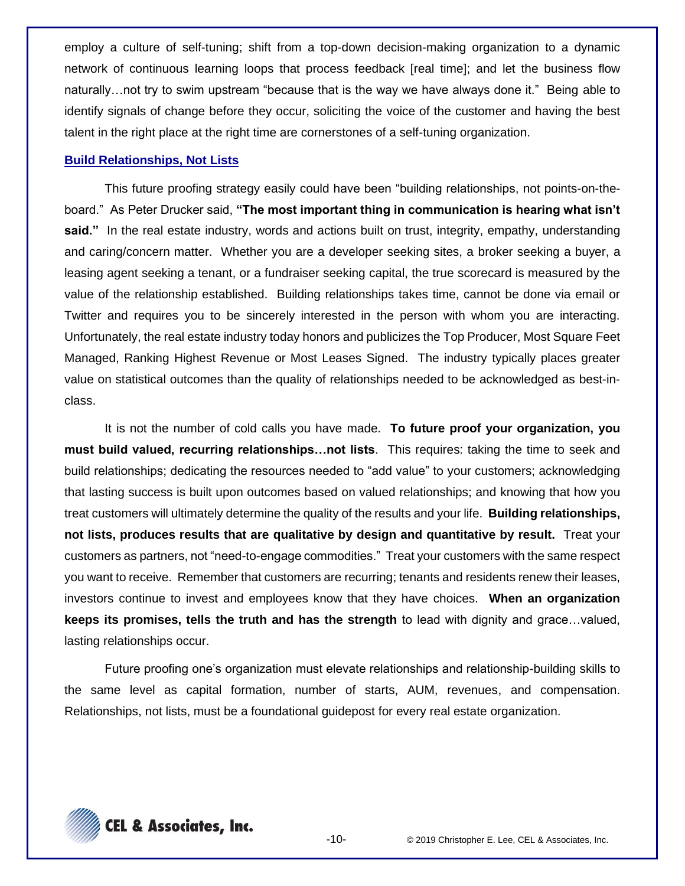employ a culture of self-tuning; shift from a top-down decision-making organization to a dynamic network of continuous learning loops that process feedback [real time]; and let the business flow naturally…not try to swim upstream "because that is the way we have always done it." Being able to identify signals of change before they occur, soliciting the voice of the customer and having the best talent in the right place at the right time are cornerstones of a self-tuning organization.

#### **Build Relationships, Not Lists**

This future proofing strategy easily could have been "building relationships, not points-on-theboard." As Peter Drucker said, **"The most important thing in communication is hearing what isn't said."** In the real estate industry, words and actions built on trust, integrity, empathy, understanding and caring/concern matter. Whether you are a developer seeking sites, a broker seeking a buyer, a leasing agent seeking a tenant, or a fundraiser seeking capital, the true scorecard is measured by the value of the relationship established. Building relationships takes time, cannot be done via email or Twitter and requires you to be sincerely interested in the person with whom you are interacting. Unfortunately, the real estate industry today honors and publicizes the Top Producer, Most Square Feet Managed, Ranking Highest Revenue or Most Leases Signed. The industry typically places greater value on statistical outcomes than the quality of relationships needed to be acknowledged as best-inclass.

It is not the number of cold calls you have made. **To future proof your organization, you must build valued, recurring relationships…not lists**. This requires: taking the time to seek and build relationships; dedicating the resources needed to "add value" to your customers; acknowledging that lasting success is built upon outcomes based on valued relationships; and knowing that how you treat customers will ultimately determine the quality of the results and your life. **Building relationships, not lists, produces results that are qualitative by design and quantitative by result.** Treat your customers as partners, not "need-to-engage commodities." Treat your customers with the same respect you want to receive. Remember that customers are recurring; tenants and residents renew their leases, investors continue to invest and employees know that they have choices. **When an organization keeps its promises, tells the truth and has the strength** to lead with dignity and grace…valued, lasting relationships occur.

Future proofing one's organization must elevate relationships and relationship-building skills to the same level as capital formation, number of starts, AUM, revenues, and compensation. Relationships, not lists, must be a foundational guidepost for every real estate organization.

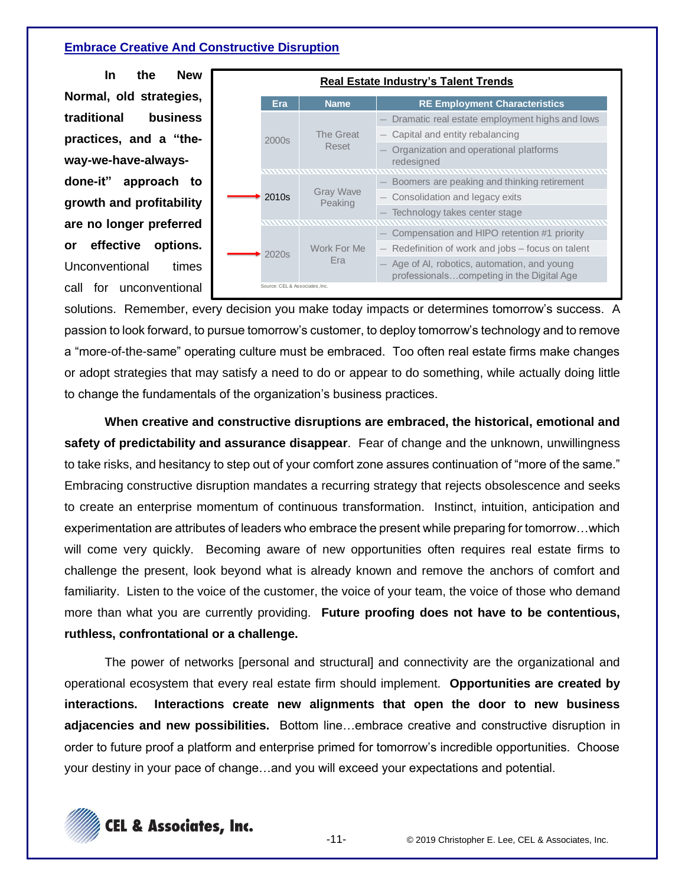### **Embrace Creative And Constructive Disruption**

**In the New Normal, old strategies, traditional business practices, and a "theway-we-have-alwaysdone-it" approach to growth and profitability are no longer preferred or effective options.**  Unconventional times call for unconventional



solutions. Remember, every decision you make today impacts or determines tomorrow's success. A passion to look forward, to pursue tomorrow's customer, to deploy tomorrow's technology and to remove a "more-of-the-same" operating culture must be embraced. Too often real estate firms make changes or adopt strategies that may satisfy a need to do or appear to do something, while actually doing little to change the fundamentals of the organization's business practices.

**When creative and constructive disruptions are embraced, the historical, emotional and safety of predictability and assurance disappear**. Fear of change and the unknown, unwillingness to take risks, and hesitancy to step out of your comfort zone assures continuation of "more of the same." Embracing constructive disruption mandates a recurring strategy that rejects obsolescence and seeks to create an enterprise momentum of continuous transformation. Instinct, intuition, anticipation and experimentation are attributes of leaders who embrace the present while preparing for tomorrow…which will come very quickly. Becoming aware of new opportunities often requires real estate firms to challenge the present, look beyond what is already known and remove the anchors of comfort and familiarity. Listen to the voice of the customer, the voice of your team, the voice of those who demand more than what you are currently providing. **Future proofing does not have to be contentious, ruthless, confrontational or a challenge.**

The power of networks [personal and structural] and connectivity are the organizational and operational ecosystem that every real estate firm should implement. **Opportunities are created by interactions. Interactions create new alignments that open the door to new business adjacencies and new possibilities.** Bottom line…embrace creative and constructive disruption in order to future proof a platform and enterprise primed for tomorrow's incredible opportunities. Choose your destiny in your pace of change…and you will exceed your expectations and potential.

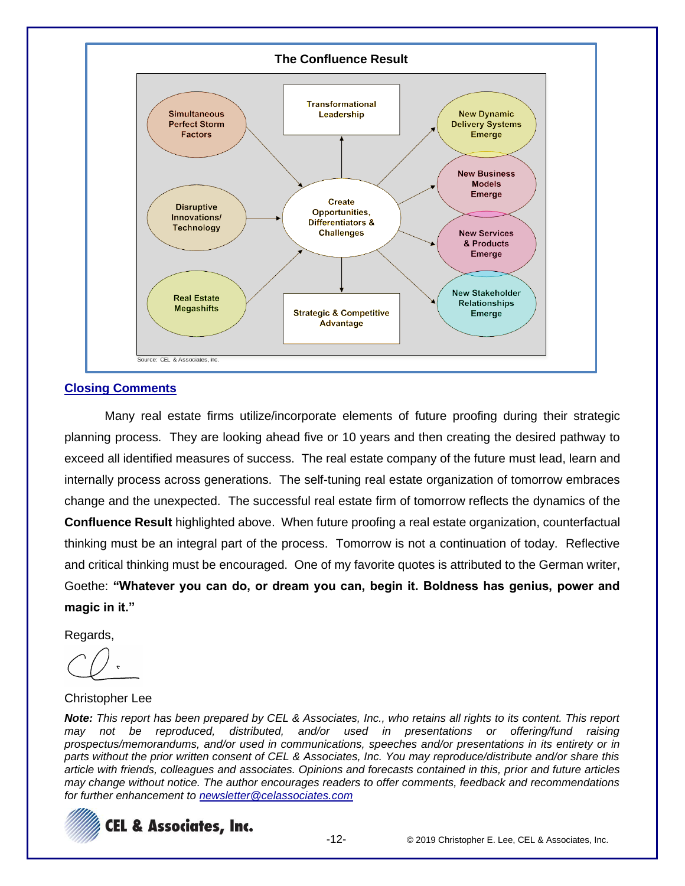

#### **Closing Comments**

Many real estate firms utilize/incorporate elements of future proofing during their strategic planning process. They are looking ahead five or 10 years and then creating the desired pathway to exceed all identified measures of success. The real estate company of the future must lead, learn and internally process across generations. The self-tuning real estate organization of tomorrow embraces change and the unexpected. The successful real estate firm of tomorrow reflects the dynamics of the **Confluence Result** highlighted above. When future proofing a real estate organization, counterfactual thinking must be an integral part of the process. Tomorrow is not a continuation of today. Reflective and critical thinking must be encouraged. One of my favorite quotes is attributed to the German writer, Goethe: **"Whatever you can do, or dream you can, begin it. Boldness has genius, power and magic in it."**

Regards,

Christopher Lee

*Note: This report has been prepared by CEL & Associates, Inc., who retains all rights to its content. This report may not be reproduced, distributed, and/or used in presentations or offering/fund raising prospectus/memorandums, and/or used in communications, speeches and/or presentations in its entirety or in parts without the prior written consent of CEL & Associates, Inc. You may reproduce/distribute and/or share this article with friends, colleagues and associates. Opinions and forecasts contained in this, prior and future articles may change without notice. The author encourages readers to offer comments, feedback and recommendations for further enhancement to [newsletter@celassociates.com](mailto:newsletter@celassociates.com)*

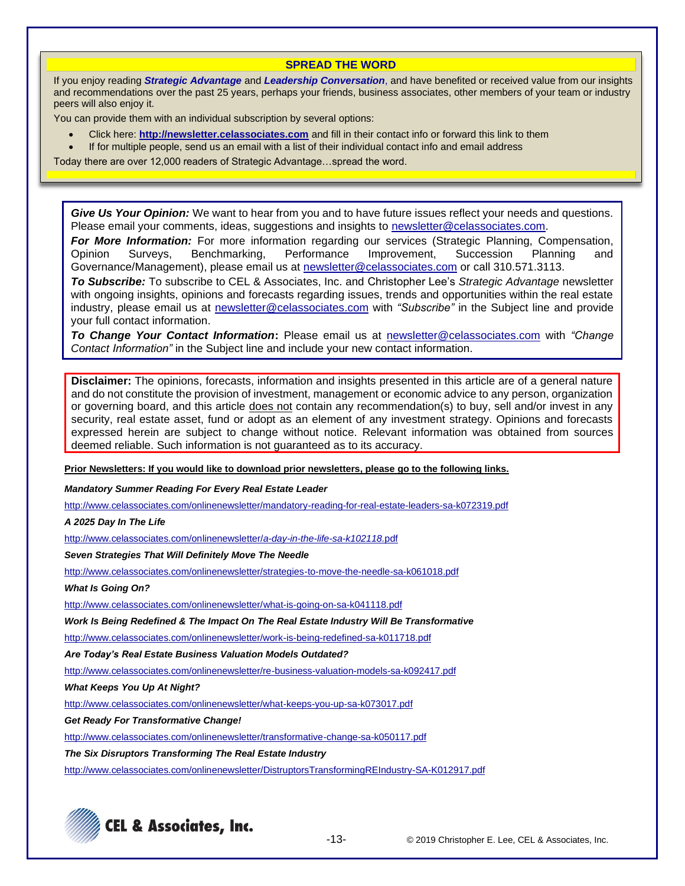#### **SPREAD THE WORD**

If you enjoy reading *Strategic Advantage* and *Leadership Conversation*, and have benefited or received value from our insights and recommendations over the past 25 years, perhaps your friends, business associates, other members of your team or industry peers will also enjoy it.

You can provide them with an individual subscription by several options:

- Click here: **http://newsletter.celassociates.com** and fill in their contact info or forward this link to them
- If for multiple people, send us an email with a list of their individual contact info and email address

Today there are over 12,000 readers of Strategic Advantage…spread the word.

*Give Us Your Opinion:* We want to hear from you and to have future issues reflect your needs and questions. Please email your comments, ideas, suggestions and insights to newsletter@celassociates.com.

*For More Information:* For more information regarding our services (Strategic Planning, Compensation, Opinion Surveys, Benchmarking, Performance Improvement, Succession Planning and Governance/Management), please email us at newsletter@celassociates.com or call 310.571.3113.

*To Subscribe:* To subscribe to CEL & Associates, Inc. and Christopher Lee's *Strategic Advantage* newsletter with ongoing insights, opinions and forecasts regarding issues, trends and opportunities within the real estate industry, please email us at newsletter@celassociates.com with *"Subscribe"* in the Subject line and provide your full contact information.

*To Change Your Contact Information***:** Please email us at newsletter@celassociates.com with *"Change Contact Information"* in the Subject line and include your new contact information.

**Disclaimer:** The opinions, forecasts, information and insights presented in this article are of a general nature and do not constitute the provision of investment, management or economic advice to any person, organization or governing board, and this article does not contain any recommendation(s) to buy, sell and/or invest in any security, real estate asset, fund or adopt as an element of any investment strategy. Opinions and forecasts expressed herein are subject to change without notice. Relevant information was obtained from sources deemed reliable. Such information is not guaranteed as to its accuracy.

**Prior Newsletters: If you would like to download prior newsletters, please go to the following links.**

*Mandatory Summer Reading For Every Real Estate Leader*

<http://www.celassociates.com/onlinenewsletter/mandatory-reading-for-real-estate-leaders-sa-k072319.pdf>

*A 2025 Day In The Life*

[http://www.celassociates.com/onlinenewsletter/](http://www.celassociates.com/onlinenewsletter/a-day-in-the-life-sa-k102118.pdf)*a-day-in-the-life-sa-k102118.*pdf

*Seven Strategies That Will Definitely Move The Needle* 

<http://www.celassociates.com/onlinenewsletter/strategies-to-move-the-needle-sa-k061018.pdf>

*What Is Going On?*

[http://www.celassociates.com/onlinenewsletter/what-is-going-on-sa-k041118.pdf](http://www.celassociates.com/onlinenewsletter/work-is-being-redefined-sa-k011718.pdf.pdf)

*Work Is Being Redefined & The Impact On The Real Estate Industry Will Be Transformative*

[http://www.celassociates.com/onlinenewsletter/work-is-being-redefined-sa-k011718.pdf](http://www.celassociates.com/onlinenewsletter/work-is-being-redefined-sa-k011718.pdf.pdf)

*Are Today's Real Estate Business Valuation Models Outdated?*

<http://www.celassociates.com/onlinenewsletter/re-business-valuation-models-sa-k092417.pdf>

*What Keeps You Up At Night?*

<http://www.celassociates.com/onlinenewsletter/what-keeps-you-up-sa-k073017.pdf>

*Get Ready For Transformative Change!*

<http://www.celassociates.com/onlinenewsletter/transformative-change-sa-k050117.pdf>

*The Six Disruptors Transforming The Real Estate Industry*

http://www.celassociates.com/onlinenewsletter/DistruptorsTransformingREIndustry-SA-K012917.pdf